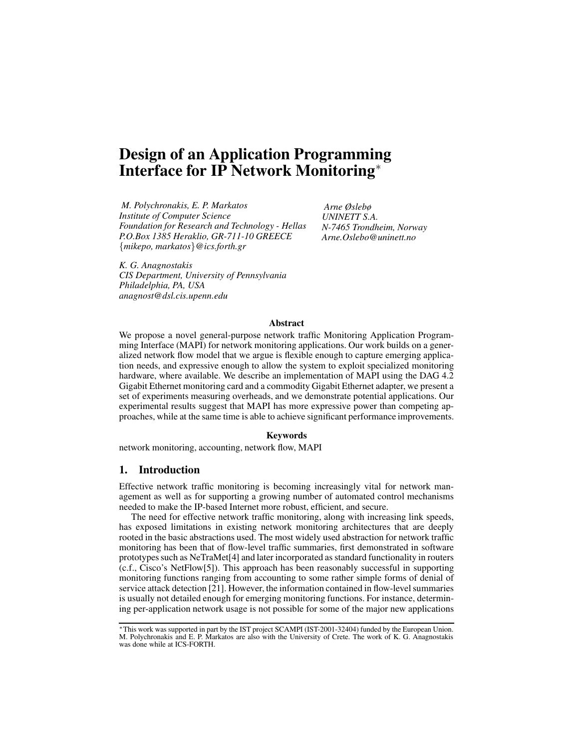# **Design of an Application Programming Interface for IP Network Monitoring**<sup>∗</sup>

*M. Polychronakis, E. P. Markatos Institute of Computer Science Foundation for Research and Technology - Hellas P.O.Box 1385 Heraklio, GR-711-10 GREECE* {*mikepo, markatos*}*@ics.forth.gr*

*Arne Øslebø UNINETT S.A. N-7465 Trondheim, Norway Arne.Oslebo@uninett.no*

*K. G. Anagnostakis CIS Department, University of Pennsylvania Philadelphia, PA, USA anagnost@dsl.cis.upenn.edu*

#### **Abstract**

We propose a novel general-purpose network traffic Monitoring Application Programming Interface (MAPI) for network monitoring applications. Our work builds on a generalized network flow model that we argue is flexible enough to capture emerging application needs, and expressive enough to allow the system to exploit specialized monitoring hardware, where available. We describe an implementation of MAPI using the DAG 4.2 Gigabit Ethernet monitoring card and a commodity Gigabit Ethernet adapter, we present a set of experiments measuring overheads, and we demonstrate potential applications. Our experimental results suggest that MAPI has more expressive power than competing approaches, while at the same time is able to achieve significant performance improvements.

## **Keywords**

network monitoring, accounting, network flow, MAPI

## **1. Introduction**

Effective network traffic monitoring is becoming increasingly vital for network management as well as for supporting a growing number of automated control mechanisms needed to make the IP-based Internet more robust, efficient, and secure.

The need for effective network traffic monitoring, along with increasing link speeds, has exposed limitations in existing network monitoring architectures that are deeply rooted in the basic abstractions used. The most widely used abstraction for network traffic monitoring has been that of flow-level traffic summaries, first demonstrated in software prototypessuch as NeTraMet[4] and later incorporated as standard functionality in routers (c.f., Cisco's NetFlow[5]). This approach has been reasonably successful in supporting monitoring functions ranging from accounting to some rather simple forms of denial of service attack detection [21]. However, the information contained in flow-level summaries is usually not detailed enough for emerging monitoring functions. For instance, determining per-application network usage is not possible for some of the major new applications

<sup>∗</sup>This work was supported in part by the IST project SCAMPI (IST-2001-32404) funded by the European Union. M. Polychronakis and E. P. Markatos are also with the University of Crete. The work of K. G. Anagnostakis was done while at ICS-FORTH.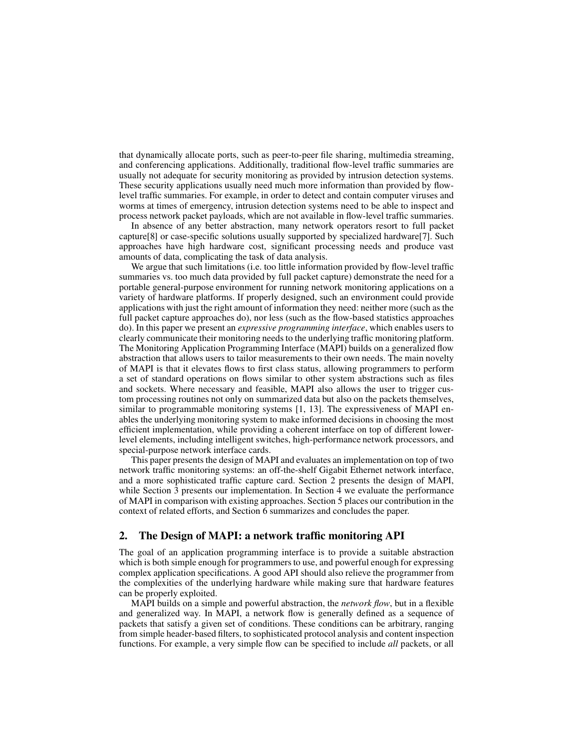that dynamically allocate ports, such as peer-to-peer file sharing, multimedia streaming, and conferencing applications. Additionally, traditional flow-level traffic summaries are usually not adequate for security monitoring as provided by intrusion detection systems. These security applications usually need much more information than provided by flowlevel traffic summaries. For example, in order to detect and contain computer viruses and worms at times of emergency, intrusion detection systems need to be able to inspect and process network packet payloads, which are not available in flow-level traffic summaries.

In absence of any better abstraction, many network operators resort to full packet capture[8] or case-specific solutions usually supported by specialized hardware[7]. Such approaches have high hardware cost, significant processing needs and produce vast amounts of data, complicating the task of data analysis.

We argue that such limitations (i.e. too little information provided by flow-level traffic summaries vs. too much data provided by full packet capture) demonstrate the need for a portable general-purpose environment for running network monitoring applications on a variety of hardware platforms. If properly designed, such an environment could provide applications with just the right amount of information they need: neither more (such as the full packet capture approaches do), nor less (such as the flow-based statistics approaches do). In this paper we present an *expressive programming interface*, which enables users to clearly communicate their monitoring needs to the underlying traffic monitoring platform. The Monitoring Application Programming Interface (MAPI) builds on a generalized flow abstraction that allows users to tailor measurements to their own needs. The main novelty of MAPI is that it elevates flows to first class status, allowing programmers to perform a set of standard operations on flows similar to other system abstractions such as files and sockets. Where necessary and feasible, MAPI also allows the user to trigger custom processing routines not only on summarized data but also on the packets themselves, similar to programmable monitoring systems [1, 13]. The expressiveness of MAPI enables the underlying monitoring system to make informed decisions in choosing the most efficient implementation, while providing a coherent interface on top of different lowerlevel elements, including intelligent switches, high-performance network processors, and special-purpose network interface cards.

This paper presents the design of MAPI and evaluates an implementation on top of two network traffic monitoring systems: an off-the-shelf Gigabit Ethernet network interface, and a more sophisticated traffic capture card. Section 2 presents the design of MAPI, while Section 3 presents our implementation. In Section 4 we evaluate the performance of MAPI in comparison with existing approaches. Section 5 places our contribution in the context of related efforts, and Section 6 summarizes and concludes the paper.

## **2. The Design of MAPI: a network traffic monitoring API**

The goal of an application programming interface is to provide a suitable abstraction which is both simple enough for programmers to use, and powerful enough for expressing complex application specifications. A good API should also relieve the programmer from the complexities of the underlying hardware while making sure that hardware features can be properly exploited.

MAPI builds on a simple and powerful abstraction, the *network flow*, but in a flexible and generalized way. In MAPI, a network flow is generally defined as a sequence of packets that satisfy a given set of conditions. These conditions can be arbitrary, ranging from simple header-based filters, to sophisticated protocol analysis and content inspection functions. For example, a very simple flow can be specified to include *all* packets, or all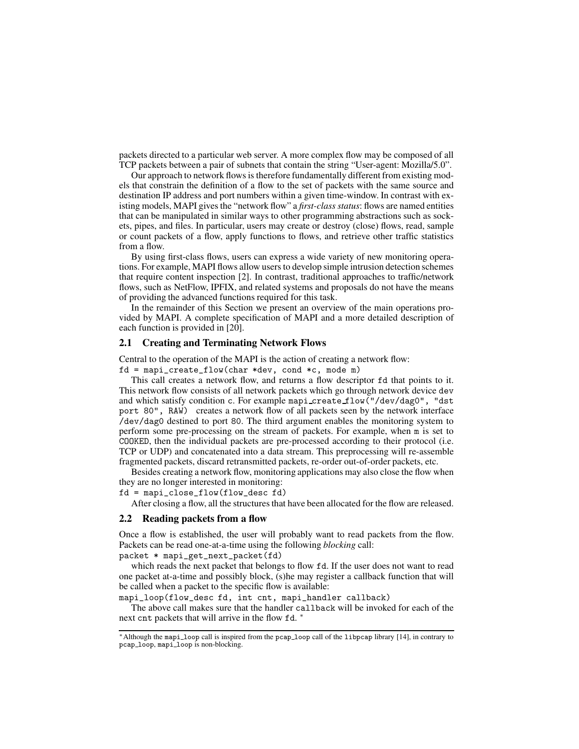packets directed to a particular web server. A more complex flow may be composed of all TCP packets between a pair of subnets that contain the string "User-agent: Mozilla/5.0".

Our approach to network flows is therefore fundamentally different from existing models that constrain the definition of a flow to the set of packets with the same source and destination IP address and port numbers within a given time-window. In contrast with existing models, MAPI gives the "network flow" a *first-class status*: flows are named entities that can be manipulated in similar ways to other programming abstractions such as sockets, pipes, and files. In particular, users may create or destroy (close) flows, read, sample or count packets of a flow, apply functions to flows, and retrieve other traffic statistics from a flow.

By using first-class flows, users can express a wide variety of new monitoring operations. For example, MAPI flows allow users to develop simple intrusion detection schemes that require content inspection [2]. In contrast, traditional approaches to traffic/network flows, such as NetFlow, IPFIX, and related systems and proposals do not have the means of providing the advanced functions required for this task.

In the remainder of this Section we present an overview of the main operations provided by MAPI. A complete specification of MAPI and a more detailed description of each function is provided in [20].

# **2.1 Creating and Terminating Network Flows**

Central to the operation of the MAPI is the action of creating a network flow:

 $fd = mapi\_create_flow(char *dev, cond *c, mode m)$ 

This call creates a network flow, and returns a flow descriptor fd that points to it. This network flow consists of all network packets which go through network device dev and which satisfy condition c. For example mapi\_create\_flow("/dev/dag0", "dst port 80", RAW) creates a network flow of all packets seen by the network interface /dev/dag0 destined to port 80. The third argument enables the monitoring system to perform some pre-processing on the stream of packets. For example, when m is set to COOKED, then the individual packets are pre-processed according to their protocol (i.e. TCP or UDP) and concatenated into a data stream. This preprocessing will re-assemble fragmented packets, discard retransmitted packets, re-order out-of-order packets, etc.

Besides creating a network flow, monitoring applications may also close the flow when they are no longer interested in monitoring:

fd = mapi\_close\_flow(flow\_desc fd)

After closing a flow, all the structures that have been allocated for the flow are released.

#### **2.2 Reading packets from a flow**

Once a flow is established, the user will probably want to read packets from the flow. Packets can be read one-at-a-time using the following *blocking* call:

packet \* mapi\_get\_next\_packet(fd)

which reads the next packet that belongs to flow fd. If the user does not want to read one packet at-a-time and possibly block, (s)he may register a callback function that will be called when a packet to the specific flow is available:

mapi\_loop(flow\_desc fd, int cnt, mapi\_handler callback)

The above call makes sure that the handler callback will be invoked for each of the next cnt packets that will arrive in the flow fd. <sup>\*</sup>

<sup>∗</sup>Although the mapi loop call is inspired from the pcap loop call of the libpcap library [14], in contrary to pcap loop, mapi loop is non-blocking.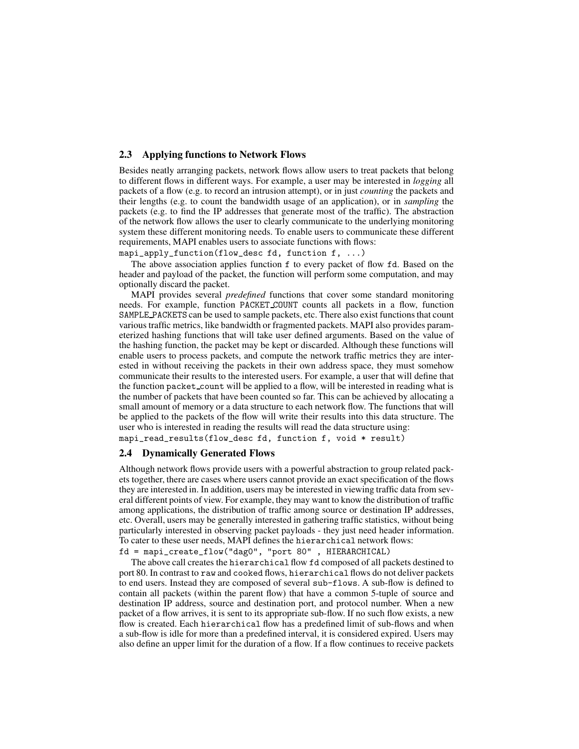## **2.3 Applying functions to Network Flows**

Besides neatly arranging packets, network flows allow users to treat packets that belong to different flows in different ways. For example, a user may be interested in *logging* all packets of a flow (e.g. to record an intrusion attempt), or in just *counting* the packets and their lengths (e.g. to count the bandwidth usage of an application), or in *sampling* the packets (e.g. to find the IP addresses that generate most of the traffic). The abstraction of the network flow allows the user to clearly communicate to the underlying monitoring system these different monitoring needs. To enable users to communicate these different requirements, MAPI enables users to associate functions with flows:

mapi\_apply\_function(flow\_desc fd, function f, ...)

The above association applies function f to every packet of flow fd. Based on the header and payload of the packet, the function will perform some computation, and may optionally discard the packet.

MAPI provides several *predefined* functions that cover some standard monitoring needs. For example, function PACKET COUNT counts all packets in a flow, function SAMPLE PACKETS can be used to sample packets, etc. There also exist functionsthat count various traffic metrics, like bandwidth or fragmented packets. MAPI also provides parameterized hashing functions that will take user defined arguments. Based on the value of the hashing function, the packet may be kept or discarded. Although these functions will enable users to process packets, and compute the network traffic metrics they are interested in without receiving the packets in their own address space, they must somehow communicate their results to the interested users. For example, a user that will define that the function packet count will be applied to a flow, will be interested in reading what is the number of packets that have been counted so far. This can be achieved by allocating a small amount of memory or a data structure to each network flow. The functions that will be applied to the packets of the flow will write their results into this data structure. The user who is interested in reading the results will read the data structure using:

mapi\_read\_results(flow\_desc fd, function f, void \* result)

## **2.4 Dynamically Generated Flows**

Although network flows provide users with a powerful abstraction to group related packets together, there are cases where users cannot provide an exact specification of the flows they are interested in. In addition, users may be interested in viewing traffic data from several different points of view. For example, they may want to know the distribution of traffic among applications, the distribution of traffic among source or destination IP addresses, etc. Overall, users may be generally interested in gathering traffic statistics, without being particularly interested in observing packet payloads - they just need header information. To cater to these user needs, MAPI defines the hierarchical network flows:

fd = mapi\_create\_flow("dag0", "port 80" , HIERARCHICAL)

The above call creates the hierarchical flow fd composed of all packets destined to port 80. In contrast to raw and cooked flows, hierarchical flows do not deliver packets to end users. Instead they are composed of several sub-flows. A sub-flow is defined to contain all packets (within the parent flow) that have a common 5-tuple of source and destination IP address, source and destination port, and protocol number. When a new packet of a flow arrives, it is sent to its appropriate sub-flow. If no such flow exists, a new flow is created. Each hierarchical flow has a predefined limit of sub-flows and when a sub-flow is idle for more than a predefined interval, it is considered expired. Users may also define an upper limit for the duration of a flow. If a flow continues to receive packets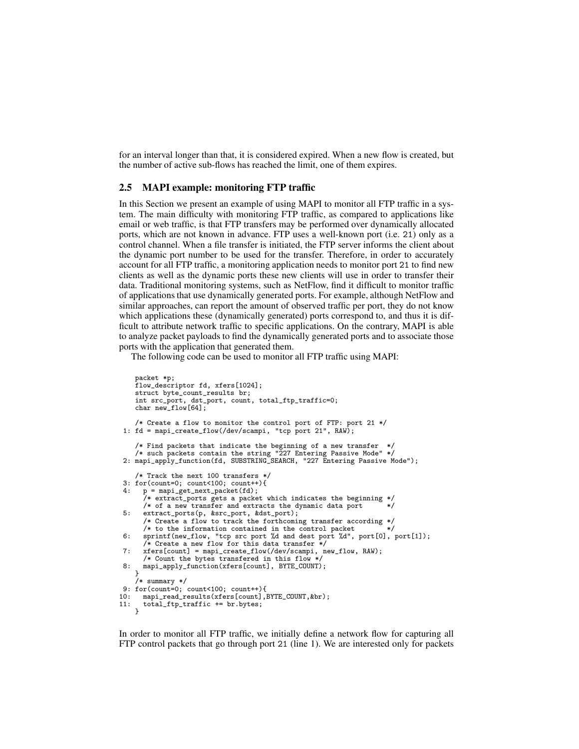for an interval longer than that, it is considered expired. When a new flow is created, but the number of active sub-flows has reached the limit, one of them expires.

## **2.5 MAPI example: monitoring FTP traffic**

In this Section we present an example of using MAPI to monitor all FTP traffic in a system. The main difficulty with monitoring FTP traffic, as compared to applications like email or web traffic, is that FTP transfers may be performed over dynamically allocated ports, which are not known in advance. FTP uses a well-known port (i.e. 21) only as a control channel. When a file transfer is initiated, the FTP server informs the client about the dynamic port number to be used for the transfer. Therefore, in order to accurately account for all FTP traffic, a monitoring application needs to monitor port 21 to find new clients as well as the dynamic ports these new clients will use in order to transfer their data. Traditional monitoring systems, such as NetFlow, find it difficult to monitor traffic of applications that use dynamically generated ports. For example, although NetFlow and similar approaches, can report the amount of observed traffic per port, they do not know which applications these (dynamically generated) ports correspond to, and thus it is difficult to attribute network traffic to specific applications. On the contrary, MAPI is able to analyze packet payloads to find the dynamically generated ports and to associate those ports with the application that generated them.

The following code can be used to monitor all FTP traffic using MAPI:

```
packet *p;
    flow_descriptor fd, xfers[1024];
    struct byte count results br:
    int src_port, dst_port, count, total_ftp_traffic=0;
    char new_flow[64];
     /* Create a flow to monitor the control port of FTP: port 21 */
 1: fd = mapi_create_flow(/dev/scampi, "tcp port 21", RAW);
 /* Find packets that indicate the beginning of a new transfer */
/* such packets contain the string "227 Entering Passive Mode" */
2: mapi_apply_function(fd, SUBSTRING_SEARCH, "227 Entering Passive Mode");
    /* Track the next 100 transfers */
 3: for(count=0; count<100; count++){<br>4; n = mani get next packet(fd);
 4: p = mapi_get_next_packet(fd);
       /* extract_ports gets a packet which indicates the beginning */
       /* of a new transfer and extracts the dynamic data port */
 5: extract_ports(p, &src_port, &dst_port);
       /* Create a flow to track the forthcoming transfer according */
       /* to the information contained in the control packet
 6: sprintf(new_flow, "tcp src port %d and dest port %d", port[0], port[1]);
       /* Create a new flow for this data transfer */
 7: xfers[count] = mapi_create_flow(/dev/scampi, new_flow, RAW);
       /* Count the bytes transfered in this flow */
 8: mapi_apply_function(xfers[count], BYTE_COUNT);
     }
/* summary */
9: for(count=0; count<100; count++){<br>10: mapi read results(xfers[count].
    mapi_read_results(xfers[count],BYTE_COUNT,&br);
      total_ftp_traffic += br.bytes;
\frac{1}{11}:
```
In order to monitor all FTP traffic, we initially define a network flow for capturing all FTP control packets that go through port 21 (line 1). We are interested only for packets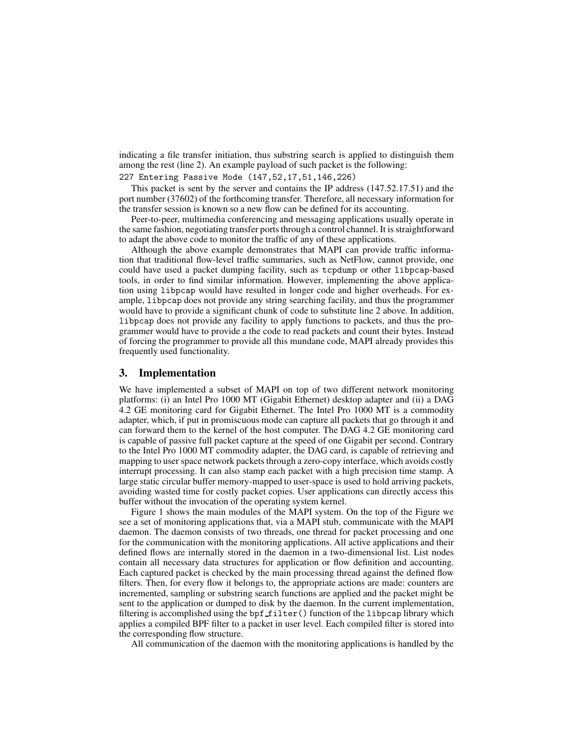indicating a file transfer initiation, thus substring search is applied to distinguish them among the rest (line 2). An example payload of such packet is the following:

## 227 Entering Passive Mode (147,52,17,51,146,226)

This packet is sent by the server and contains the IP address (147.52.17.51) and the port number (37602) of the forthcoming transfer. Therefore, all necessary information for the transfer session is known so a new flow can be defined for its accounting.

Peer-to-peer, multimedia conferencing and messaging applications usually operate in the same fashion, negotiating transfer ports through a control channel. It is straightforward to adapt the above code to monitor the traffic of any of these applications.

Although the above example demonstrates that MAPI can provide traffic information that traditional flow-level traffic summaries, such as NetFlow, cannot provide, one could have used a packet dumping facility, such as tcpdump or other libpcap-based tools, in order to find similar information. However, implementing the above application using libpcap would have resulted in longer code and higher overheads. For example, libpcap does not provide any string searching facility, and thus the programmer would have to provide a significant chunk of code to substitute line 2 above. In addition, libpcap does not provide any facility to apply functions to packets, and thus the programmer would have to provide a the code to read packets and count their bytes. Instead of forcing the programmer to provide all this mundane code, MAPI already provides this frequently used functionality.

## **3. Implementation**

We have implemented a subset of MAPI on top of two different network monitoring platforms: (i) an Intel Pro 1000 MT (Gigabit Ethernet) desktop adapter and (ii) a DAG 4.2 GE monitoring card for Gigabit Ethernet. The Intel Pro 1000 MT is a commodity adapter, which, if put in promiscuous mode can capture all packets that go through it and can forward them to the kernel of the host computer. The DAG 4.2 GE monitoring card is capable of passive full packet capture at the speed of one Gigabit per second. Contrary to the Intel Pro 1000 MT commodity adapter, the DAG card, is capable of retrieving and mapping to user space network packets through a zero-copy interface, which avoids costly interrupt processing. It can also stamp each packet with a high precision time stamp. A large static circular buffer memory-mapped to user-space is used to hold arriving packets, avoiding wasted time for costly packet copies. User applications can directly access this buffer without the invocation of the operating system kernel.

Figure 1 shows the main modules of the MAPI system. On the top of the Figure we see a set of monitoring applications that, via a MAPI stub, communicate with the MAPI daemon. The daemon consists of two threads, one thread for packet processing and one for the communication with the monitoring applications. All active applications and their defined flows are internally stored in the daemon in a two-dimensional list. List nodes contain all necessary data structures for application or flow definition and accounting. Each captured packet is checked by the main processing thread against the defined flow filters. Then, for every flow it belongs to, the appropriate actions are made: counters are incremented, sampling or substring search functions are applied and the packet might be sent to the application or dumped to disk by the daemon. In the current implementation, filtering is accomplished using the  $bpf_f$  filter() function of the libpcap library which applies a compiled BPF filter to a packet in user level. Each compiled filter is stored into the corresponding flow structure.

All communication of the daemon with the monitoring applications is handled by the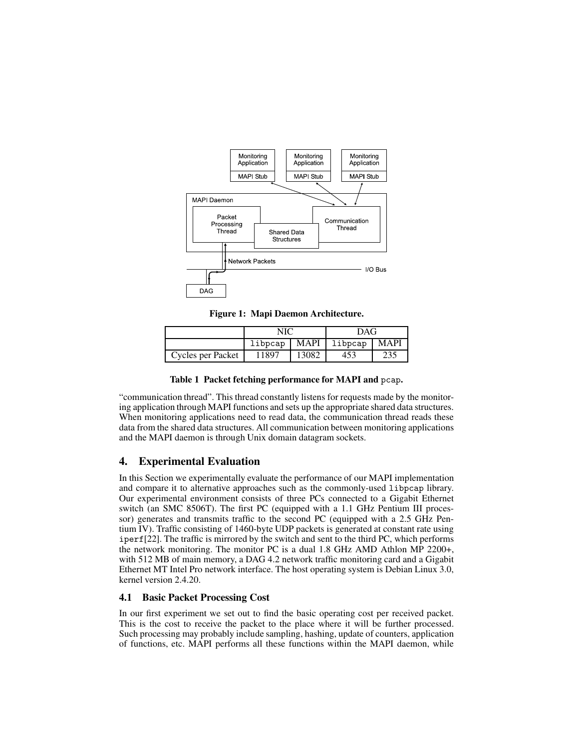

**Figure 1: Mapi Daemon Architecture.**

|                   | NIC     |             | <b>DAG</b> |             |
|-------------------|---------|-------------|------------|-------------|
|                   | libpcap | <b>MAPI</b> | l libpcap  | <b>MAPI</b> |
| Cycles per Packet | 11897   | 13082       | 453        | 235         |

**Table 1 Packet fetching performance for MAPI and** pcap**.**

"communication thread". This thread constantly listens for requests made by the monitoring application through MAPI functions and sets up the appropriate shared data structures. When monitoring applications need to read data, the communication thread reads these data from the shared data structures. All communication between monitoring applications and the MAPI daemon is through Unix domain datagram sockets.

## **4. Experimental Evaluation**

In this Section we experimentally evaluate the performance of our MAPI implementation and compare it to alternative approaches such as the commonly-used libpcap library. Our experimental environment consists of three PCs connected to a Gigabit Ethernet switch (an SMC 8506T). The first PC (equipped with a 1.1 GHz Pentium III processor) generates and transmits traffic to the second PC (equipped with a 2.5 GHz Pentium IV). Traffic consisting of 1460-byte UDP packets is generated at constant rate using iperf[22]. The traffic is mirrored by the switch and sent to the third PC, which performs the network monitoring. The monitor PC is a dual 1.8 GHz AMD Athlon MP 2200+, with 512 MB of main memory, a DAG 4.2 network traffic monitoring card and a Gigabit Ethernet MT Intel Pro network interface. The host operating system is Debian Linux 3.0, kernel version 2.4.20.

## **4.1 Basic Packet Processing Cost**

In our first experiment we set out to find the basic operating cost per received packet. This is the cost to receive the packet to the place where it will be further processed. Such processing may probably include sampling, hashing, update of counters, application of functions, etc. MAPI performs all these functions within the MAPI daemon, while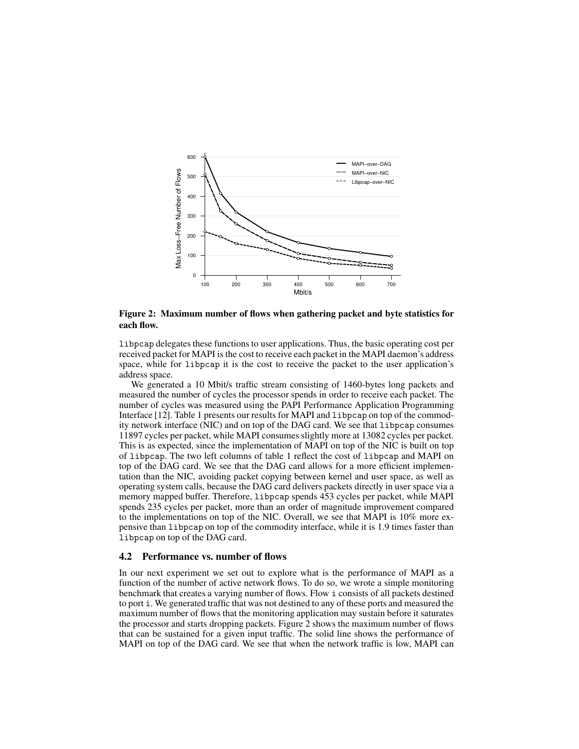

**Figure 2: Maximum number of flows when gathering packet and byte statistics for each flow.**

libpcap delegates these functions to user applications. Thus, the basic operating cost per received packet for MAPI is the cost to receive each packet in the MAPI daemon's address space, while for libpcap it is the cost to receive the packet to the user application's address space.

We generated a 10 Mbit/s traffic stream consisting of 1460-bytes long packets and measured the number of cycles the processor spends in order to receive each packet. The number of cycles was measured using the PAPI Performance Application Programming Interface [12]. Table 1 presents our results for MAPI and libpcap on top of the commodity network interface (NIC) and on top of the DAG card. We see that libpcap consumes 11897 cycles per packet, while MAPI consumes slightly more at 13082 cycles per packet. This is as expected, since the implementation of MAPI on top of the NIC is built on top of libpcap. The two left columns of table 1 reflect the cost of libpcap and MAPI on top of the DAG card. We see that the DAG card allows for a more efficient implementation than the NIC, avoiding packet copying between kernel and user space, as well as operating system calls, because the DAG card delivers packets directly in user space via a memory mapped buffer. Therefore, libpcap spends 453 cycles per packet, while MAPI spends 235 cycles per packet, more than an order of magnitude improvement compared to the implementations on top of the NIC. Overall, we see that MAPI is 10% more expensive than libpcap on top of the commodity interface, while it is 1.9 times faster than libpcap on top of the DAG card.

### **4.2 Performance vs. number of flows**

In our next experiment we set out to explore what is the performance of MAPI as a function of the number of active network flows. To do so, we wrote a simple monitoring benchmark that creates a varying number of flows. Flow i consists of all packets destined to port i. We generated traffic that was not destined to any of these ports and measured the maximum number of flows that the monitoring application may sustain before it saturates the processor and starts dropping packets. Figure 2 shows the maximum number of flows that can be sustained for a given input traffic. The solid line shows the performance of MAPI on top of the DAG card. We see that when the network traffic is low, MAPI can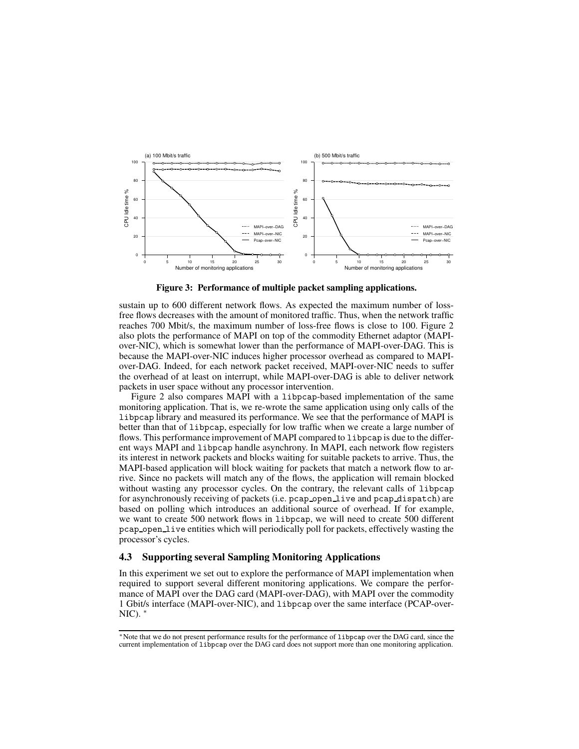

**Figure 3: Performance of multiple packet sampling applications.**

sustain up to 600 different network flows. As expected the maximum number of lossfree flows decreases with the amount of monitored traffic. Thus, when the network traffic reaches 700 Mbit/s, the maximum number of loss-free flows is close to 100. Figure 2 also plots the performance of MAPI on top of the commodity Ethernet adaptor (MAPIover-NIC), which is somewhat lower than the performance of MAPI-over-DAG. This is because the MAPI-over-NIC induces higher processor overhead as compared to MAPIover-DAG. Indeed, for each network packet received, MAPI-over-NIC needs to suffer the overhead of at least on interrupt, while MAPI-over-DAG is able to deliver network packets in user space without any processor intervention.

Figure 2 also compares MAPI with a libpcap-based implementation of the same monitoring application. That is, we re-wrote the same application using only calls of the libpcap library and measured its performance. We see that the performance of MAPI is better than that of libpcap, especially for low traffic when we create a large number of flows. This performance improvement of MAPI compared to libpcap is due to the different ways MAPI and libpcap handle asynchrony. In MAPI, each network flow registers its interest in network packets and blocks waiting for suitable packets to arrive. Thus, the MAPI-based application will block waiting for packets that match a network flow to arrive. Since no packets will match any of the flows, the application will remain blocked without wasting any processor cycles. On the contrary, the relevant calls of libpcap for asynchronously receiving of packets (i.e. pcap\_open\_live and pcap\_dispatch) are based on polling which introduces an additional source of overhead. If for example, we want to create 500 network flows in libpcap, we will need to create 500 different pcap open live entities which will periodically poll for packets, effectively wasting the processor's cycles.

## **4.3 Supporting several Sampling Monitoring Applications**

In this experiment we set out to explore the performance of MAPI implementation when required to support several different monitoring applications. We compare the performance of MAPI over the DAG card (MAPI-over-DAG), with MAPI over the commodity 1 Gbit/s interface (MAPI-over-NIC), and libpcap over the same interface (PCAP-over-NIC). <sup>∗</sup>

<sup>∗</sup>Note that we do not present performance results for the performance of libpcap over the DAG card, since the current implementation of libpcap over the DAG card does not support more than one monitoring application.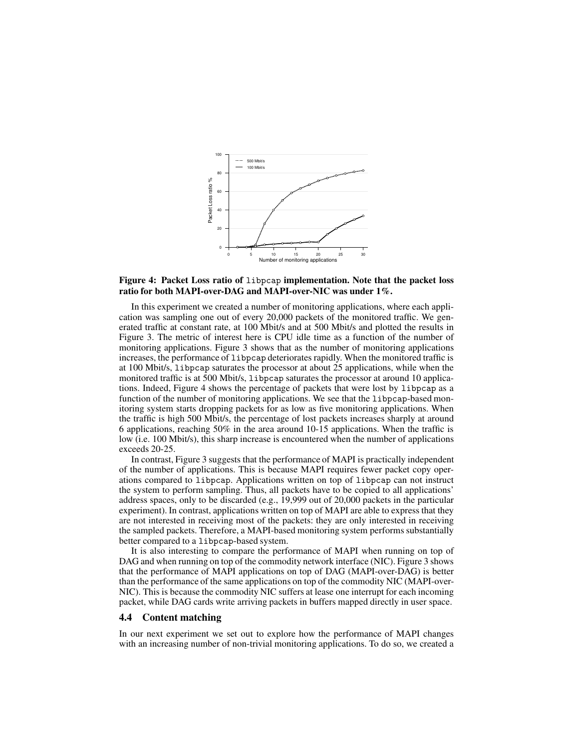

## **Figure 4: Packet Loss ratio of** libpcap **implementation. Note that the packet loss ratio for both MAPI-over-DAG and MAPI-over-NIC was under 1%.**

In this experiment we created a number of monitoring applications, where each application was sampling one out of every 20,000 packets of the monitored traffic. We generated traffic at constant rate, at 100 Mbit/s and at 500 Mbit/s and plotted the results in Figure 3. The metric of interest here is CPU idle time as a function of the number of monitoring applications. Figure 3 shows that as the number of monitoring applications increases, the performance of libpcap deteriorates rapidly. When the monitored traffic is at 100 Mbit/s, libpcap saturates the processor at about 25 applications, while when the monitored traffic is at 500 Mbit/s, libpcap saturates the processor at around 10 applications. Indeed, Figure 4 shows the percentage of packets that were lost by libpcap as a function of the number of monitoring applications. We see that the libpcap-based monitoring system starts dropping packets for as low as five monitoring applications. When the traffic is high 500 Mbit/s, the percentage of lost packets increases sharply at around 6 applications, reaching 50% in the area around 10-15 applications. When the traffic is low (i.e. 100 Mbit/s), this sharp increase is encountered when the number of applications exceeds 20-25.

In contrast, Figure 3 suggests that the performance of MAPI is practically independent of the number of applications. This is because MAPI requires fewer packet copy operations compared to libpcap. Applications written on top of libpcap can not instruct the system to perform sampling. Thus, all packets have to be copied to all applications' address spaces, only to be discarded (e.g., 19,999 out of 20,000 packets in the particular experiment). In contrast, applications written on top of MAPI are able to express that they are not interested in receiving most of the packets: they are only interested in receiving the sampled packets. Therefore, a MAPI-based monitoring system performs substantially better compared to a libpcap-based system.

It is also interesting to compare the performance of MAPI when running on top of DAG and when running on top of the commodity network interface (NIC). Figure 3 shows that the performance of MAPI applications on top of DAG (MAPI-over-DAG) is better than the performance of the same applications on top of the commodity NIC (MAPI-over-NIC). This is because the commodity NIC suffers at lease one interrupt for each incoming packet, while DAG cards write arriving packets in buffers mapped directly in user space.

#### **4.4 Content matching**

In our next experiment we set out to explore how the performance of MAPI changes with an increasing number of non-trivial monitoring applications. To do so, we created a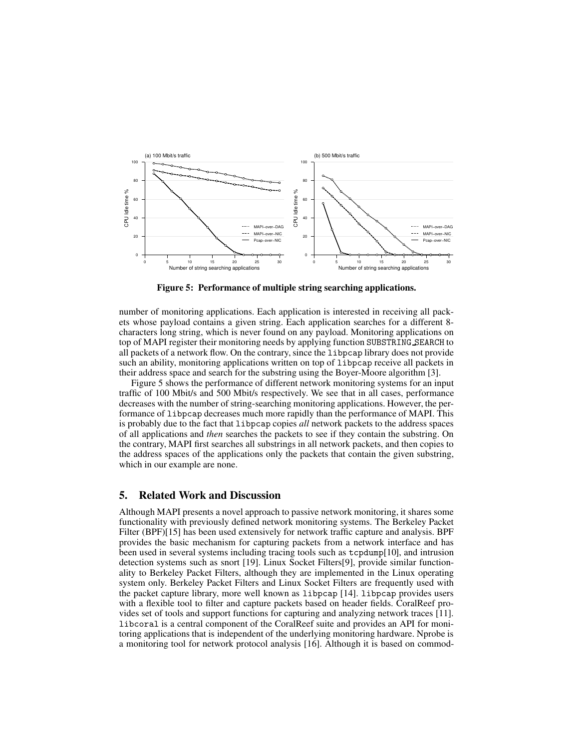

**Figure 5: Performance of multiple string searching applications.**

number of monitoring applications. Each application is interested in receiving all packets whose payload contains a given string. Each application searches for a different 8 characters long string, which is never found on any payload. Monitoring applications on top of MAPI register their monitoring needs by applying function SUBSTRING SEARCH to all packets of a network flow. On the contrary, since the libpcap library does not provide such an ability, monitoring applications written on top of libpcap receive all packets in their address space and search for the substring using the Boyer-Moore algorithm [3].

Figure 5 shows the performance of different network monitoring systems for an input traffic of 100 Mbit/s and 500 Mbit/s respectively. We see that in all cases, performance decreases with the number of string-searching monitoring applications. However, the performance of libpcap decreases much more rapidly than the performance of MAPI. This is probably due to the fact that libpcap copies *all* network packets to the address spaces of all applications and *then* searches the packets to see if they contain the substring. On the contrary, MAPI first searches all substrings in all network packets, and then copies to the address spaces of the applications only the packets that contain the given substring, which in our example are none.

# **5. Related Work and Discussion**

Although MAPI presents a novel approach to passive network monitoring, it shares some functionality with previously defined network monitoring systems. The Berkeley Packet Filter (BPF)[15] has been used extensively for network traffic capture and analysis. BPF provides the basic mechanism for capturing packets from a network interface and has been used in several systems including tracing tools such as tcpdump[10], and intrusion detection systems such as snort [19]. Linux Socket Filters[9], provide similar functionality to Berkeley Packet Filters, although they are implemented in the Linux operating system only. Berkeley Packet Filters and Linux Socket Filters are frequently used with the packet capture library, more well known as libpcap [14]. libpcap provides users with a flexible tool to filter and capture packets based on header fields. CoralReef provides set of tools and support functions for capturing and analyzing network traces [11]. libcoral is a central component of the CoralReef suite and provides an API for monitoring applications that is independent of the underlying monitoring hardware. Nprobe is a monitoring tool for network protocol analysis [16]. Although it is based on commod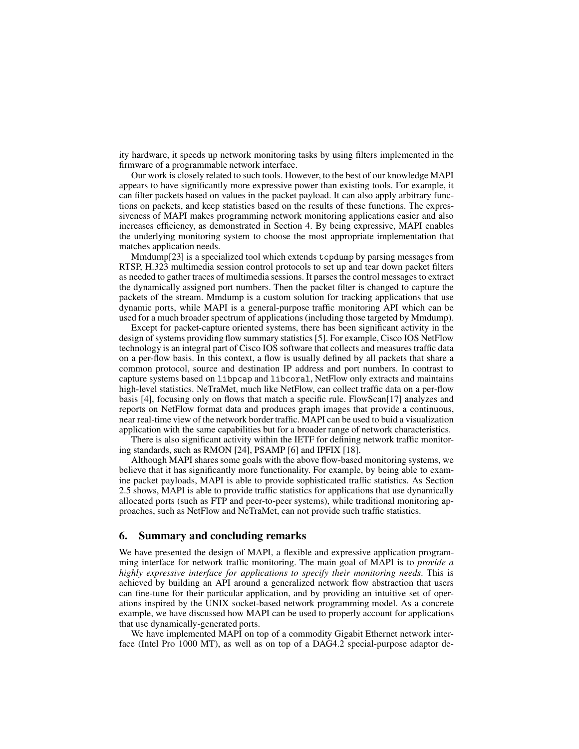ity hardware, it speeds up network monitoring tasks by using filters implemented in the firmware of a programmable network interface.

Our work is closely related to such tools. However, to the best of our knowledge MAPI appears to have significantly more expressive power than existing tools. For example, it can filter packets based on values in the packet payload. It can also apply arbitrary functions on packets, and keep statistics based on the results of these functions. The expressiveness of MAPI makes programming network monitoring applications easier and also increases efficiency, as demonstrated in Section 4. By being expressive, MAPI enables the underlying monitoring system to choose the most appropriate implementation that matches application needs.

Mmdump[23] is a specialized tool which extends tcpdump by parsing messages from RTSP, H.323 multimedia session control protocols to set up and tear down packet filters as needed to gather traces of multimedia sessions. It parses the control messages to extract the dynamically assigned port numbers. Then the packet filter is changed to capture the packets of the stream. Mmdump is a custom solution for tracking applications that use dynamic ports, while MAPI is a general-purpose traffic monitoring API which can be used for a much broader spectrum of applications (including those targeted by Mmdump).

Except for packet-capture oriented systems, there has been significant activity in the design of systems providing flow summary statistics [5]. For example, Cisco IOS NetFlow technology is an integral part of Cisco IOS software that collects and measures traffic data on a per-flow basis. In this context, a flow is usually defined by all packets that share a common protocol, source and destination IP address and port numbers. In contrast to capture systems based on libpcap and libcoral, NetFlow only extracts and maintains high-level statistics. NeTraMet, much like NetFlow, can collect traffic data on a per-flow basis  $[4]$ , focusing only on flows that match a specific rule. FlowScan $[17]$  analyzes and reports on NetFlow format data and produces graph images that provide a continuous, near real-time view of the network border traffic. MAPI can be used to buid a visualization application with the same capabilities but for a broader range of network characteristics.

There is also significant activity within the IETF for defining network traffic monitoring standards, such as RMON [24], PSAMP [6] and IPFIX [18].

Although MAPI shares some goals with the above flow-based monitoring systems, we believe that it has significantly more functionality. For example, by being able to examine packet payloads, MAPI is able to provide sophisticated traffic statistics. As Section 2.5 shows, MAPI is able to provide traffic statistics for applications that use dynamically allocated ports (such as FTP and peer-to-peer systems), while traditional monitoring approaches, such as NetFlow and NeTraMet, can not provide such traffic statistics.

## **6. Summary and concluding remarks**

We have presented the design of MAPI, a flexible and expressive application programming interface for network traffic monitoring. The main goal of MAPI is to *provide a highly expressive interface for applications to specify their monitoring needs*. This is achieved by building an API around a generalized network flow abstraction that users can fine-tune for their particular application, and by providing an intuitive set of operations inspired by the UNIX socket-based network programming model. As a concrete example, we have discussed how MAPI can be used to properly account for applications that use dynamically-generated ports.

We have implemented MAPI on top of a commodity Gigabit Ethernet network interface (Intel Pro 1000 MT), as well as on top of a DAG4.2 special-purpose adaptor de-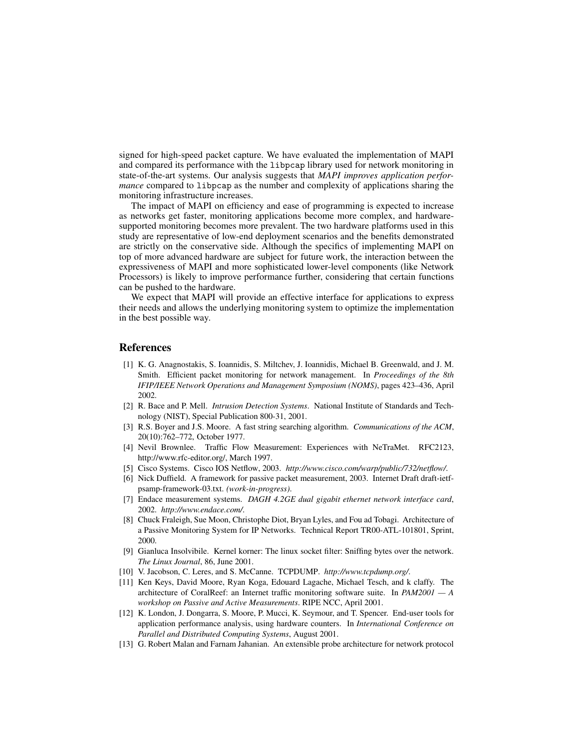signed for high-speed packet capture. We have evaluated the implementation of MAPI and compared its performance with the libpcap library used for network monitoring in state-of-the-art systems. Our analysis suggests that *MAPI improves application performance* compared to libpcap as the number and complexity of applications sharing the monitoring infrastructure increases.

The impact of MAPI on efficiency and ease of programming is expected to increase as networks get faster, monitoring applications become more complex, and hardwaresupported monitoring becomes more prevalent. The two hardware platforms used in this study are representative of low-end deployment scenarios and the benefits demonstrated are strictly on the conservative side. Although the specifics of implementing MAPI on top of more advanced hardware are subject for future work, the interaction between the expressiveness of MAPI and more sophisticated lower-level components (like Network Processors) is likely to improve performance further, considering that certain functions can be pushed to the hardware.

We expect that MAPI will provide an effective interface for applications to express their needs and allows the underlying monitoring system to optimize the implementation in the best possible way.

## **References**

- [1] K. G. Anagnostakis, S. Ioannidis, S. Miltchev, J. Ioannidis, Michael B. Greenwald, and J. M. Smith. Efficient packet monitoring for network management. In *Proceedings of the 8th IFIP/IEEE Network Operations and Management Symposium (NOMS)*, pages 423–436, April 2002.
- [2] R. Bace and P. Mell. *Intrusion Detection Systems*. National Institute of Standards and Technology (NIST), Special Publication 800-31, 2001.
- [3] R.S. Boyer and J.S. Moore. A fast string searching algorithm. *Communications of the ACM*, 20(10):762–772, October 1977.
- [4] Nevil Brownlee. Traffic Flow Measurement: Experiences with NeTraMet. RFC2123, http://www.rfc-editor.org/, March 1997.
- [5] Cisco Systems. Cisco IOS Netflow, 2003. *http://www.cisco.com/warp/public/732/netflow/*.
- [6] Nick Duffield. A framework for passive packet measurement, 2003. Internet Draft draft-ietfpsamp-framework-03.txt. *(work-in-progress)*.
- [7] Endace measurement systems. *DAGH 4.2GE dual gigabit ethernet network interface card*, 2002. *http://www.endace.com/*.
- [8] Chuck Fraleigh, Sue Moon, Christophe Diot, Bryan Lyles, and Fou ad Tobagi. Architecture of a Passive Monitoring System for IP Networks. Technical Report TR00-ATL-101801, Sprint, 2000.
- [9] Gianluca Insolvibile. Kernel korner: The linux socket filter: Sniffing bytes over the network. *The Linux Journal*, 86, June 2001.
- [10] V. Jacobson, C. Leres, and S. McCanne. TCPDUMP. *http://www.tcpdump.org/*.
- [11] Ken Keys, David Moore, Ryan Koga, Edouard Lagache, Michael Tesch, and k claffy. The architecture of CoralReef: an Internet traffic monitoring software suite. In *PAM2001 — A workshop on Passive and Active Measurements*. RIPE NCC, April 2001.
- [12] K. London, J. Dongarra, S. Moore, P. Mucci, K. Seymour, and T. Spencer. End-user tools for application performance analysis, using hardware counters. In *International Conference on Parallel and Distributed Computing Systems*, August 2001.
- [13] G. Robert Malan and Farnam Jahanian. An extensible probe architecture for network protocol